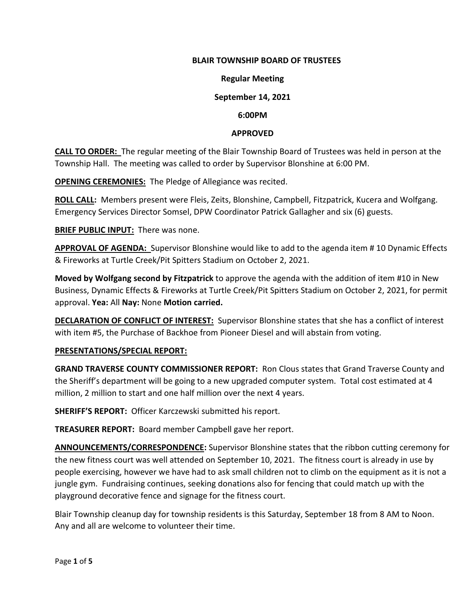# **BLAIR TOWNSHIP BOARD OF TRUSTEES**

#### **Regular Meeting**

## **September 14, 2021**

#### **6:00PM**

#### **APPROVED**

**CALL TO ORDER:** The regular meeting of the Blair Township Board of Trustees was held in person at the Township Hall. The meeting was called to order by Supervisor Blonshine at 6:00 PM.

**OPENING CEREMONIES:** The Pledge of Allegiance was recited.

**ROLL CALL:** Members present were Fleis, Zeits, Blonshine, Campbell, Fitzpatrick, Kucera and Wolfgang. Emergency Services Director Somsel, DPW Coordinator Patrick Gallagher and six (6) guests.

**BRIEF PUBLIC INPUT:** There was none.

**APPROVAL OF AGENDA:** Supervisor Blonshine would like to add to the agenda item # 10 Dynamic Effects & Fireworks at Turtle Creek/Pit Spitters Stadium on October 2, 2021.

**Moved by Wolfgang second by Fitzpatrick** to approve the agenda with the addition of item #10 in New Business, Dynamic Effects & Fireworks at Turtle Creek/Pit Spitters Stadium on October 2, 2021, for permit approval. **Yea:** All **Nay:** None **Motion carried.**

**DECLARATION OF CONFLICT OF INTEREST:** Supervisor Blonshine states that she has a conflict of interest with item #5, the Purchase of Backhoe from Pioneer Diesel and will abstain from voting.

# **PRESENTATIONS/SPECIAL REPORT:**

**GRAND TRAVERSE COUNTY COMMISSIONER REPORT:** Ron Clous states that Grand Traverse County and the Sheriff's department will be going to a new upgraded computer system. Total cost estimated at 4 million, 2 million to start and one half million over the next 4 years.

**SHERIFF'S REPORT:** Officer Karczewski submitted his report.

**TREASURER REPORT:** Board member Campbell gave her report.

**ANNOUNCEMENTS/CORRESPONDENCE:** Supervisor Blonshine states that the ribbon cutting ceremony for the new fitness court was well attended on September 10, 2021. The fitness court is already in use by people exercising, however we have had to ask small children not to climb on the equipment as it is not a jungle gym. Fundraising continues, seeking donations also for fencing that could match up with the playground decorative fence and signage for the fitness court.

Blair Township cleanup day for township residents is this Saturday, September 18 from 8 AM to Noon. Any and all are welcome to volunteer their time.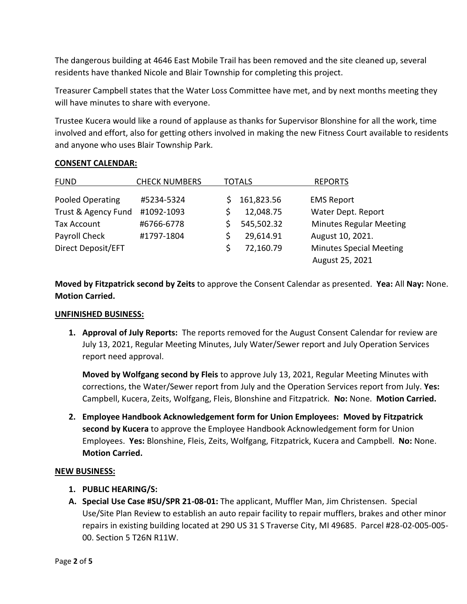The dangerous building at 4646 East Mobile Trail has been removed and the site cleaned up, several residents have thanked Nicole and Blair Township for completing this project.

Treasurer Campbell states that the Water Loss Committee have met, and by next months meeting they will have minutes to share with everyone.

Trustee Kucera would like a round of applause as thanks for Supervisor Blonshine for all the work, time involved and effort, also for getting others involved in making the new Fitness Court available to residents and anyone who uses Blair Township Park.

# FUND CHECK NUMBERS TOTALS REPORTS Pooled Operating #5234-5324 \$ 161,823.56 EMS Report Trust & Agency Fund #1092-1093 <br>
\$2.048.75 Water Dept. Report Tax Account  $\overline{46766} - 6778$   $\overline{545,502.32}$  Minutes Regular Meeting Payroll Check #1797-1804 \$ 29,614.91 August 10, 2021. Direct Deposit/EFT  $\angle$  \$ 72,160.79 Minutes Special Meeting August 25, 2021

# **CONSENT CALENDAR:**

**Moved by Fitzpatrick second by Zeits** to approve the Consent Calendar as presented. **Yea:** All **Nay:** None. **Motion Carried.**

# **UNFINISHED BUSINESS:**

**1. Approval of July Reports:** The reports removed for the August Consent Calendar for review are July 13, 2021, Regular Meeting Minutes, July Water/Sewer report and July Operation Services report need approval.

**Moved by Wolfgang second by Fleis** to approve July 13, 2021, Regular Meeting Minutes with corrections, the Water/Sewer report from July and the Operation Services report from July. **Yes:**  Campbell, Kucera, Zeits, Wolfgang, Fleis, Blonshine and Fitzpatrick. **No:** None. **Motion Carried.**

**2. Employee Handbook Acknowledgement form for Union Employees: Moved by Fitzpatrick second by Kucera** to approve the Employee Handbook Acknowledgement form for Union Employees. **Yes:** Blonshine, Fleis, Zeits, Wolfgang, Fitzpatrick, Kucera and Campbell. **No:** None. **Motion Carried.**

# **NEW BUSINESS:**

- **1. PUBLIC HEARING/S:**
- **A. Special Use Case #SU/SPR 21-08-01:** The applicant, Muffler Man, Jim Christensen. Special Use/Site Plan Review to establish an auto repair facility to repair mufflers, brakes and other minor repairs in existing building located at 290 US 31 S Traverse City, MI 49685. Parcel #28-02-005-005- 00. Section 5 T26N R11W.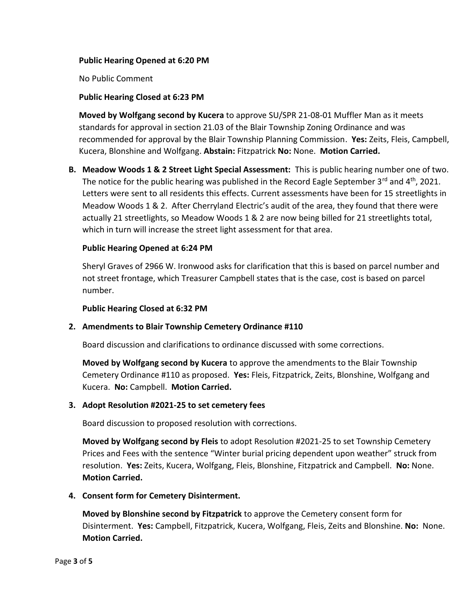# **Public Hearing Opened at 6:20 PM**

No Public Comment

## **Public Hearing Closed at 6:23 PM**

**Moved by Wolfgang second by Kucera** to approve SU/SPR 21-08-01 Muffler Man as it meets standards for approval in section 21.03 of the Blair Township Zoning Ordinance and was recommended for approval by the Blair Township Planning Commission. **Yes:** Zeits, Fleis, Campbell, Kucera, Blonshine and Wolfgang. **Abstain:** Fitzpatrick **No:** None. **Motion Carried.**

**B. Meadow Woods 1 & 2 Street Light Special Assessment:** This is public hearing number one of two. The notice for the public hearing was published in the Record Eagle September  $3^{rd}$  and  $4^{th}$ , 2021. Letters were sent to all residents this effects. Current assessments have been for 15 streetlights in Meadow Woods 1 & 2. After Cherryland Electric's audit of the area, they found that there were actually 21 streetlights, so Meadow Woods 1 & 2 are now being billed for 21 streetlights total, which in turn will increase the street light assessment for that area.

# **Public Hearing Opened at 6:24 PM**

Sheryl Graves of 2966 W. Ironwood asks for clarification that this is based on parcel number and not street frontage, which Treasurer Campbell states that is the case, cost is based on parcel number.

# **Public Hearing Closed at 6:32 PM**

# **2. Amendments to Blair Township Cemetery Ordinance #110**

Board discussion and clarifications to ordinance discussed with some corrections.

**Moved by Wolfgang second by Kucera** to approve the amendments to the Blair Township Cemetery Ordinance #110 as proposed. **Yes:** Fleis, Fitzpatrick, Zeits, Blonshine, Wolfgang and Kucera. **No:** Campbell. **Motion Carried.**

#### **3. Adopt Resolution #2021-25 to set cemetery fees**

Board discussion to proposed resolution with corrections.

**Moved by Wolfgang second by Fleis** to adopt Resolution #2021-25 to set Township Cemetery Prices and Fees with the sentence "Winter burial pricing dependent upon weather" struck from resolution. **Yes:** Zeits, Kucera, Wolfgang, Fleis, Blonshine, Fitzpatrick and Campbell. **No:** None. **Motion Carried.**

# **4. Consent form for Cemetery Disinterment.**

**Moved by Blonshine second by Fitzpatrick** to approve the Cemetery consent form for Disinterment. **Yes:** Campbell, Fitzpatrick, Kucera, Wolfgang, Fleis, Zeits and Blonshine. **No:** None. **Motion Carried.**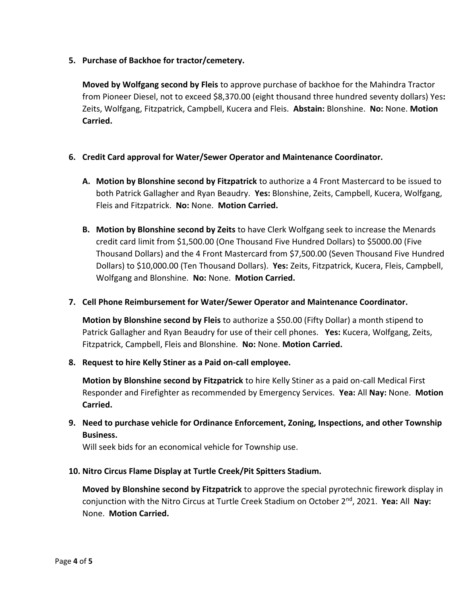**5. Purchase of Backhoe for tractor/cemetery.**

**Moved by Wolfgang second by Fleis** to approve purchase of backhoe for the Mahindra Tractor from Pioneer Diesel, not to exceed \$8,370.00 (eight thousand three hundred seventy dollars) Yes**:**  Zeits, Wolfgang, Fitzpatrick, Campbell, Kucera and Fleis. **Abstain:** Blonshine. **No:** None. **Motion Carried.**

# **6. Credit Card approval for Water/Sewer Operator and Maintenance Coordinator.**

- **A. Motion by Blonshine second by Fitzpatrick** to authorize a 4 Front Mastercard to be issued to both Patrick Gallagher and Ryan Beaudry. **Yes:** Blonshine, Zeits, Campbell, Kucera, Wolfgang, Fleis and Fitzpatrick. **No:** None. **Motion Carried.**
- **B. Motion by Blonshine second by Zeits** to have Clerk Wolfgang seek to increase the Menards credit card limit from \$1,500.00 (One Thousand Five Hundred Dollars) to \$5000.00 (Five Thousand Dollars) and the 4 Front Mastercard from \$7,500.00 (Seven Thousand Five Hundred Dollars) to \$10,000.00 (Ten Thousand Dollars). **Yes:** Zeits, Fitzpatrick, Kucera, Fleis, Campbell, Wolfgang and Blonshine. **No:** None. **Motion Carried.**

# **7. Cell Phone Reimbursement for Water/Sewer Operator and Maintenance Coordinator.**

**Motion by Blonshine second by Fleis** to authorize a \$50.00 (Fifty Dollar) a month stipend to Patrick Gallagher and Ryan Beaudry for use of their cell phones. **Yes:** Kucera, Wolfgang, Zeits, Fitzpatrick, Campbell, Fleis and Blonshine. **No:** None. **Motion Carried.**

# **8. Request to hire Kelly Stiner as a Paid on-call employee.**

**Motion by Blonshine second by Fitzpatrick** to hire Kelly Stiner as a paid on-call Medical First Responder and Firefighter as recommended by Emergency Services. **Yea:** All **Nay:** None. **Motion Carried.**

**9. Need to purchase vehicle for Ordinance Enforcement, Zoning, Inspections, and other Township Business.**

Will seek bids for an economical vehicle for Township use.

# **10. Nitro Circus Flame Display at Turtle Creek/Pit Spitters Stadium.**

**Moved by Blonshine second by Fitzpatrick** to approve the special pyrotechnic firework display in conjunction with the Nitro Circus at Turtle Creek Stadium on October 2nd, 2021. **Yea:** All **Nay:**  None. **Motion Carried.**